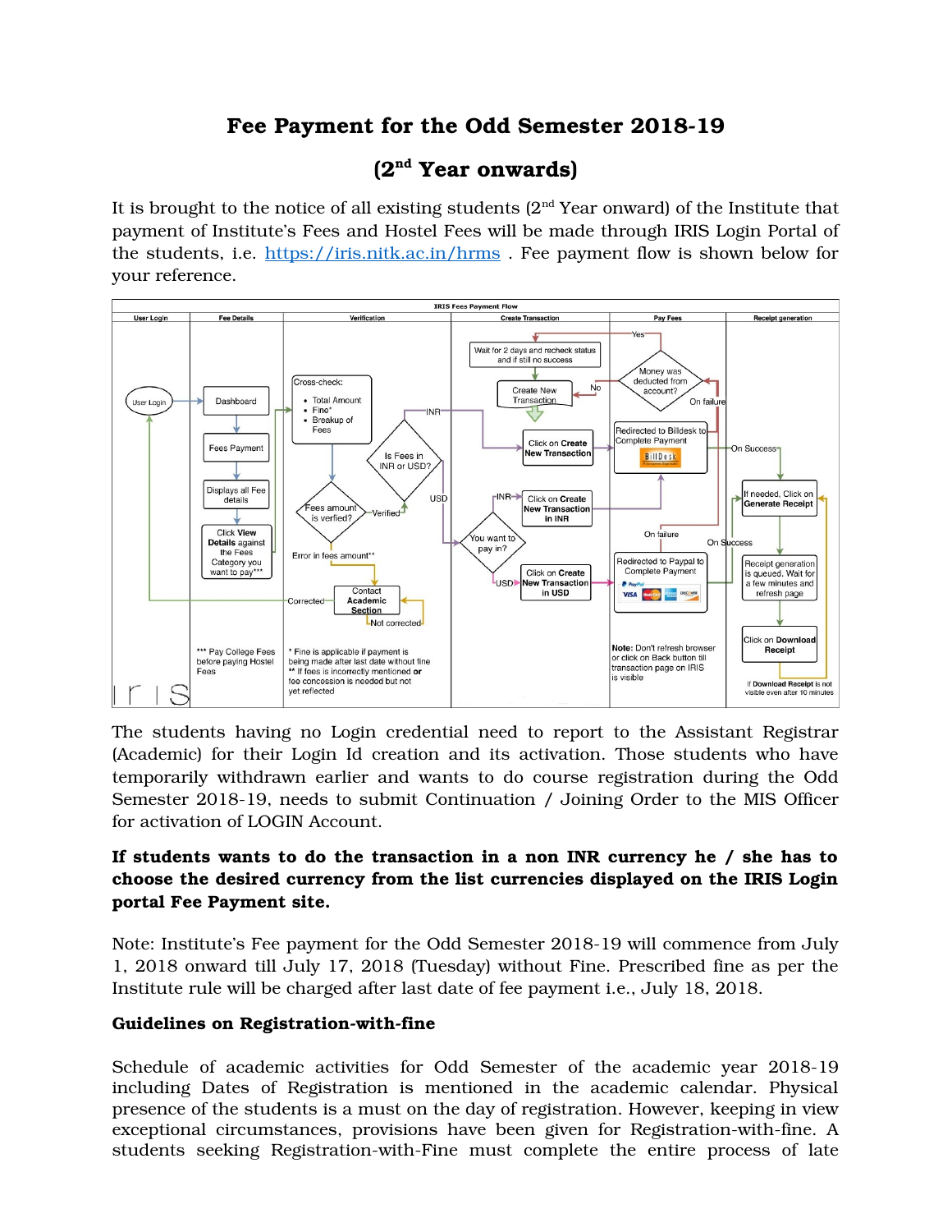# Fee Payment for the Odd Semester 2018-19

## **(2nd Year onwards)**

It is brought to the notice of all existing students  $(2<sup>nd</sup> Year onward)$  of the Institute that payment of Institute's Fees and Hostel Fees will be made through IRIS Login Portal of the students, i.e.<https://iris.nitk.ac.in/hrms>. Fee payment flow is shown below for your reference.



The students having no Login credential need to report to the Assistant Registrar (Academic) for their Login Id creation and its activation. Those students who have temporarily withdrawn earlier and wants to do course registration during the Odd Semester 2018-19, needs to submit Continuation / Joining Order to the MIS Officer for activation of LOGIN Account.

### **If students wants to do the transaction in a non INR currency he / she has to choose the desired currency from the list currencies displayed on the IRIS Login portal Fee Payment site.**

Note: Institute's Fee payment for the Odd Semester 2018-19 will commence from July 1, 2018 onward till July 17, 2018 (Tuesday) without Fine. Prescribed fine as per the Institute rule will be charged after last date of fee payment i.e., July 18, 2018.

### **Guidelines on Registration-with-fine**

Schedule of academic activities for Odd Semester of the academic year 2018-19 including Dates of Registration is mentioned in the academic calendar. Physical presence of the students is a must on the day of registration. However, keeping in view exceptional circumstances, provisions have been given for Registration-with-fine. A students seeking Registration-with-Fine must complete the entire process of late